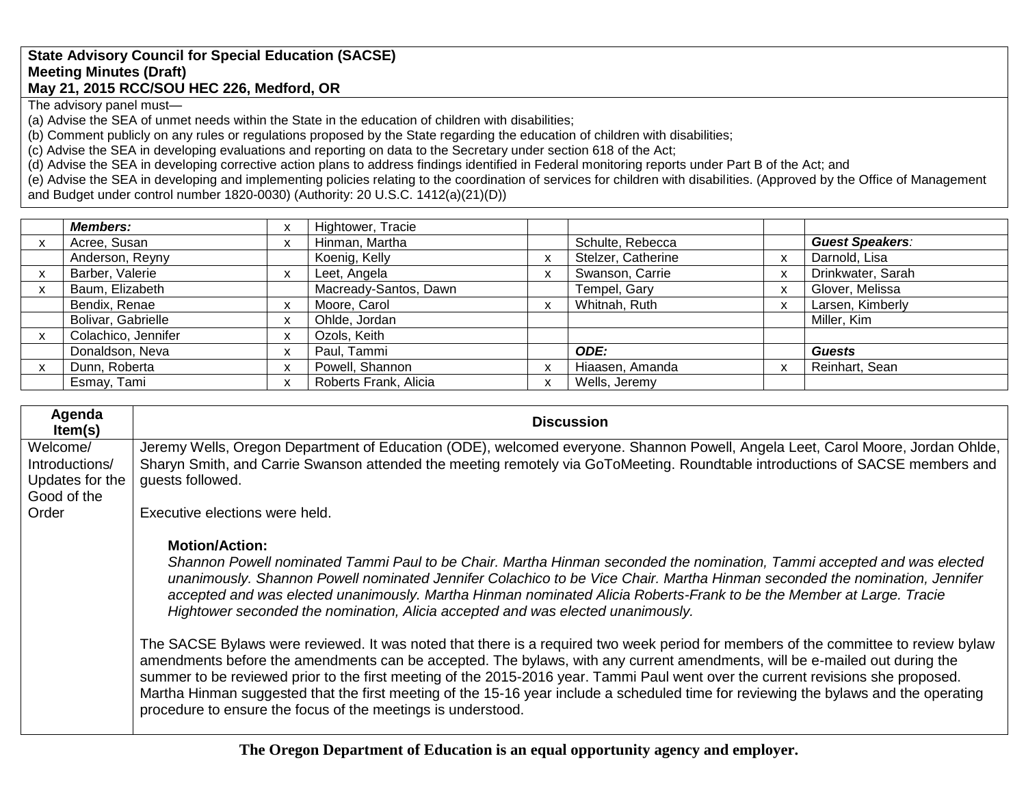#### **State Advisory Council for Special Education (SACSE) Meeting Minutes (Draft) May 21, 2015 RCC/SOU HEC 226, Medford, OR**

The advisory panel must—

(a) Advise the SEA of unmet needs within the State in the education of children with disabilities;

(b) Comment publicly on any rules or regulations proposed by the State regarding the education of children with disabilities;

(c) Advise the SEA in developing evaluations and reporting on data to the Secretary under section 618 of the Act;

(d) Advise the SEA in developing corrective action plans to address findings identified in Federal monitoring reports under Part B of the Act; and

(e) Advise the SEA in developing and implementing policies relating to the coordination of services for children with disabilities. (Approved by the Office of Management and Budget under control number 1820-0030) (Authority: 20 U.S.C. 1412(a)(21)(D))

| <b>Members:</b>     | X | Hightower, Tracie     |   |                    |                        |
|---------------------|---|-----------------------|---|--------------------|------------------------|
| Acree, Susan        | X | Hinman, Martha        |   | Schulte, Rebecca   | <b>Guest Speakers:</b> |
| Anderson, Reyny     |   | Koenig, Kelly         |   | Stelzer, Catherine | Darnold, Lisa          |
| Barber, Valerie     | X | Leet, Angela          |   | Swanson, Carrie    | Drinkwater, Sarah      |
| Baum, Elizabeth     |   | Macready-Santos, Dawn |   | Tempel, Gary       | Glover, Melissa        |
| Bendix, Renae       | X | Moore, Carol          | X | Whitnah, Ruth      | Larsen, Kimberly       |
| Bolivar, Gabrielle  | X | Ohlde, Jordan         |   |                    | Miller, Kim            |
| Colachico, Jennifer | X | Ozols, Keith          |   |                    |                        |
| Donaldson, Neva     | X | Paul, Tammi           |   | ODE:               | <b>Guests</b>          |
| Dunn, Roberta       | X | Powell, Shannon       |   | Hiaasen, Amanda    | Reinhart, Sean         |
| Esmay, Tami         | X | Roberts Frank, Alicia | v | Wells, Jeremy      |                        |

| Agenda<br>Item(s) | <b>Discussion</b>                                                                                                                                                                                                                                                                                                                                                                                                                                                                                                                                                                                                                                                                                                                                                                                                                                                                                                                                                                                                                                                                                        |
|-------------------|----------------------------------------------------------------------------------------------------------------------------------------------------------------------------------------------------------------------------------------------------------------------------------------------------------------------------------------------------------------------------------------------------------------------------------------------------------------------------------------------------------------------------------------------------------------------------------------------------------------------------------------------------------------------------------------------------------------------------------------------------------------------------------------------------------------------------------------------------------------------------------------------------------------------------------------------------------------------------------------------------------------------------------------------------------------------------------------------------------|
| Welcome/          | Jeremy Wells, Oregon Department of Education (ODE), welcomed everyone. Shannon Powell, Angela Leet, Carol Moore, Jordan Ohlde,                                                                                                                                                                                                                                                                                                                                                                                                                                                                                                                                                                                                                                                                                                                                                                                                                                                                                                                                                                           |
| Introductions/    | Sharyn Smith, and Carrie Swanson attended the meeting remotely via GoToMeeting. Roundtable introductions of SACSE members and                                                                                                                                                                                                                                                                                                                                                                                                                                                                                                                                                                                                                                                                                                                                                                                                                                                                                                                                                                            |
| Updates for the   | quests followed.                                                                                                                                                                                                                                                                                                                                                                                                                                                                                                                                                                                                                                                                                                                                                                                                                                                                                                                                                                                                                                                                                         |
| Good of the       |                                                                                                                                                                                                                                                                                                                                                                                                                                                                                                                                                                                                                                                                                                                                                                                                                                                                                                                                                                                                                                                                                                          |
| Order             | Executive elections were held.                                                                                                                                                                                                                                                                                                                                                                                                                                                                                                                                                                                                                                                                                                                                                                                                                                                                                                                                                                                                                                                                           |
|                   | <b>Motion/Action:</b><br>Shannon Powell nominated Tammi Paul to be Chair. Martha Hinman seconded the nomination, Tammi accepted and was elected<br>unanimously. Shannon Powell nominated Jennifer Colachico to be Vice Chair. Martha Hinman seconded the nomination, Jennifer<br>accepted and was elected unanimously. Martha Hinman nominated Alicia Roberts-Frank to be the Member at Large. Tracie<br>Hightower seconded the nomination, Alicia accepted and was elected unanimously.<br>The SACSE Bylaws were reviewed. It was noted that there is a required two week period for members of the committee to review bylaw<br>amendments before the amendments can be accepted. The bylaws, with any current amendments, will be e-mailed out during the<br>summer to be reviewed prior to the first meeting of the 2015-2016 year. Tammi Paul went over the current revisions she proposed.<br>Martha Hinman suggested that the first meeting of the 15-16 year include a scheduled time for reviewing the bylaws and the operating<br>procedure to ensure the focus of the meetings is understood. |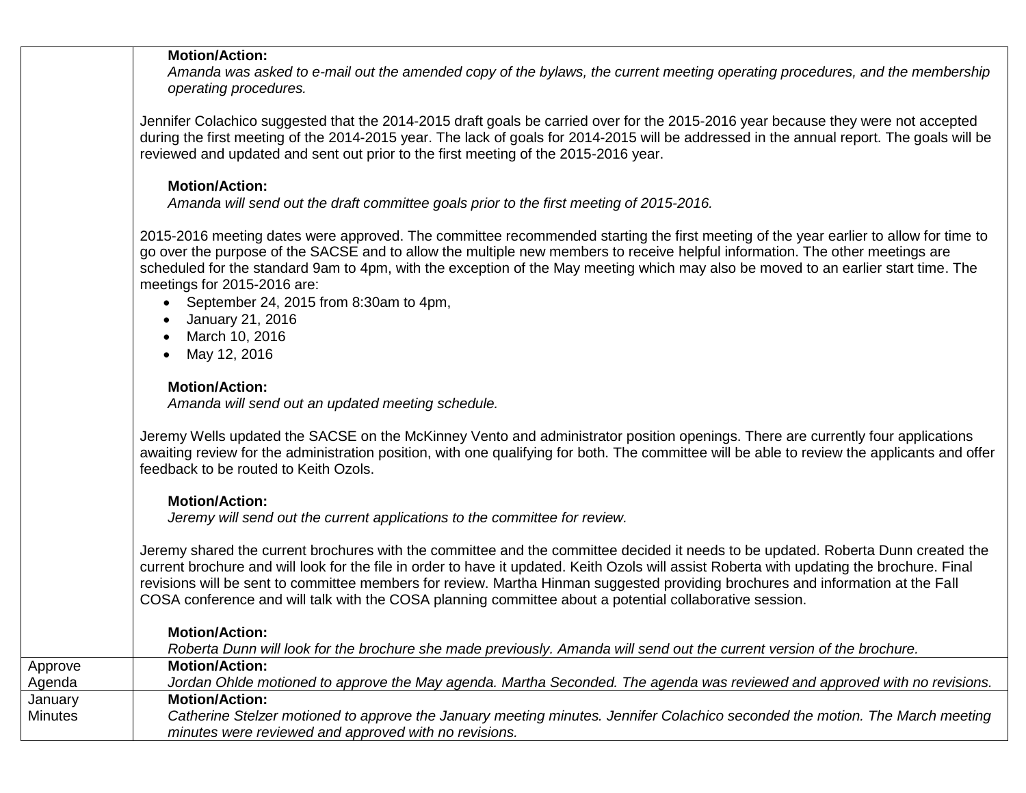#### **Motion/Action:**

*Amanda was asked to e-mail out the amended copy of the bylaws, the current meeting operating procedures, and the membership operating procedures.*

Jennifer Colachico suggested that the 2014-2015 draft goals be carried over for the 2015-2016 year because they were not accepted during the first meeting of the 2014-2015 year. The lack of goals for 2014-2015 will be addressed in the annual report. The goals will be reviewed and updated and sent out prior to the first meeting of the 2015-2016 year.

### **Motion/Action:**

*Amanda will send out the draft committee goals prior to the first meeting of 2015-2016.*

2015-2016 meeting dates were approved. The committee recommended starting the first meeting of the year earlier to allow for time to go over the purpose of the SACSE and to allow the multiple new members to receive helpful information. The other meetings are scheduled for the standard 9am to 4pm, with the exception of the May meeting which may also be moved to an earlier start time. The meetings for 2015-2016 are:

- September 24, 2015 from 8:30am to 4pm,
- January 21, 2016
- March 10, 2016
- May 12, 2016

# **Motion/Action:**

*Amanda will send out an updated meeting schedule.*

Jeremy Wells updated the SACSE on the McKinney Vento and administrator position openings. There are currently four applications awaiting review for the administration position, with one qualifying for both. The committee will be able to review the applicants and offer feedback to be routed to Keith Ozols.

## **Motion/Action:**

*Jeremy will send out the current applications to the committee for review.*

Jeremy shared the current brochures with the committee and the committee decided it needs to be updated. Roberta Dunn created the current brochure and will look for the file in order to have it updated. Keith Ozols will assist Roberta with updating the brochure. Final revisions will be sent to committee members for review. Martha Hinman suggested providing brochures and information at the Fall COSA conference and will talk with the COSA planning committee about a potential collaborative session.

|         | <b>Motion/Action:</b><br>Roberta Dunn will look for the brochure she made previously. Amanda will send out the current version of the brochure.                                       |
|---------|---------------------------------------------------------------------------------------------------------------------------------------------------------------------------------------|
| Approve | <b>Motion/Action:</b>                                                                                                                                                                 |
| Agenda  | Jordan Ohlde motioned to approve the May agenda. Martha Seconded. The agenda was reviewed and approved with no revisions.                                                             |
| January | <b>Motion/Action:</b>                                                                                                                                                                 |
| Minutes | Catherine Stelzer motioned to approve the January meeting minutes. Jennifer Colachico seconded the motion. The March meeting<br>minutes were reviewed and approved with no revisions. |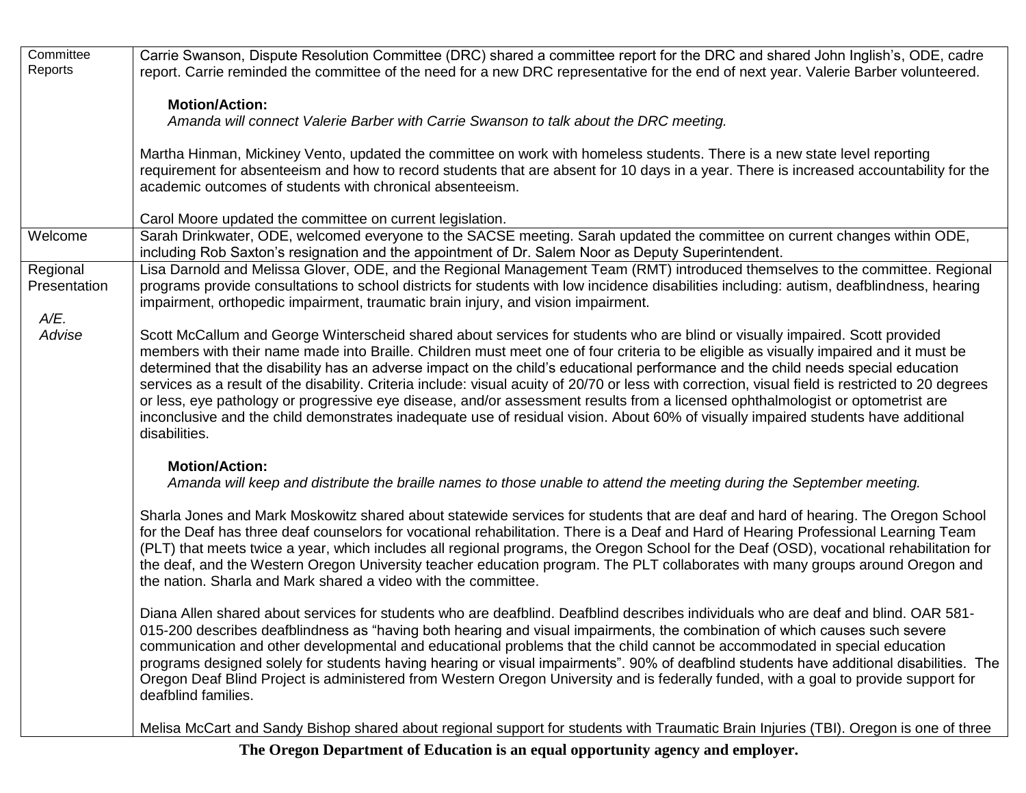| Reports<br>report. Carrie reminded the committee of the need for a new DRC representative for the end of next year. Valerie Barber volunteered.                                                                                                                            |  |
|----------------------------------------------------------------------------------------------------------------------------------------------------------------------------------------------------------------------------------------------------------------------------|--|
|                                                                                                                                                                                                                                                                            |  |
| <b>Motion/Action:</b>                                                                                                                                                                                                                                                      |  |
| Amanda will connect Valerie Barber with Carrie Swanson to talk about the DRC meeting.                                                                                                                                                                                      |  |
|                                                                                                                                                                                                                                                                            |  |
| Martha Hinman, Mickiney Vento, updated the committee on work with homeless students. There is a new state level reporting                                                                                                                                                  |  |
| requirement for absenteeism and how to record students that are absent for 10 days in a year. There is increased accountability for the                                                                                                                                    |  |
| academic outcomes of students with chronical absenteeism.                                                                                                                                                                                                                  |  |
|                                                                                                                                                                                                                                                                            |  |
| Carol Moore updated the committee on current legislation.<br>Sarah Drinkwater, ODE, welcomed everyone to the SACSE meeting. Sarah updated the committee on current changes within ODE,<br>Welcome                                                                          |  |
| including Rob Saxton's resignation and the appointment of Dr. Salem Noor as Deputy Superintendent.                                                                                                                                                                         |  |
| Lisa Darnold and Melissa Glover, ODE, and the Regional Management Team (RMT) introduced themselves to the committee. Regional<br>Regional                                                                                                                                  |  |
| programs provide consultations to school districts for students with low incidence disabilities including: autism, deafblindness, hearing<br>Presentation                                                                                                                  |  |
| impairment, orthopedic impairment, traumatic brain injury, and vision impairment.                                                                                                                                                                                          |  |
| A/E.                                                                                                                                                                                                                                                                       |  |
| Advise<br>Scott McCallum and George Winterscheid shared about services for students who are blind or visually impaired. Scott provided                                                                                                                                     |  |
| members with their name made into Braille. Children must meet one of four criteria to be eligible as visually impaired and it must be<br>determined that the disability has an adverse impact on the child's educational performance and the child needs special education |  |
| services as a result of the disability. Criteria include: visual acuity of 20/70 or less with correction, visual field is restricted to 20 degrees                                                                                                                         |  |
| or less, eye pathology or progressive eye disease, and/or assessment results from a licensed ophthalmologist or optometrist are                                                                                                                                            |  |
| inconclusive and the child demonstrates inadequate use of residual vision. About 60% of visually impaired students have additional                                                                                                                                         |  |
| disabilities.                                                                                                                                                                                                                                                              |  |
| <b>Motion/Action:</b>                                                                                                                                                                                                                                                      |  |
| Amanda will keep and distribute the braille names to those unable to attend the meeting during the September meeting.                                                                                                                                                      |  |
|                                                                                                                                                                                                                                                                            |  |
| Sharla Jones and Mark Moskowitz shared about statewide services for students that are deaf and hard of hearing. The Oregon School                                                                                                                                          |  |
| for the Deaf has three deaf counselors for vocational rehabilitation. There is a Deaf and Hard of Hearing Professional Learning Team                                                                                                                                       |  |
| (PLT) that meets twice a year, which includes all regional programs, the Oregon School for the Deaf (OSD), vocational rehabilitation for                                                                                                                                   |  |
| the deaf, and the Western Oregon University teacher education program. The PLT collaborates with many groups around Oregon and                                                                                                                                             |  |
| the nation. Sharla and Mark shared a video with the committee.                                                                                                                                                                                                             |  |
| Diana Allen shared about services for students who are deafblind. Deafblind describes individuals who are deaf and blind. OAR 581-                                                                                                                                         |  |
| 015-200 describes deafblindness as "having both hearing and visual impairments, the combination of which causes such severe                                                                                                                                                |  |
| communication and other developmental and educational problems that the child cannot be accommodated in special education                                                                                                                                                  |  |
| programs designed solely for students having hearing or visual impairments". 90% of deafblind students have additional disabilities. The                                                                                                                                   |  |
| Oregon Deaf Blind Project is administered from Western Oregon University and is federally funded, with a goal to provide support for                                                                                                                                       |  |
| deafblind families.                                                                                                                                                                                                                                                        |  |
| Melisa McCart and Sandy Bishop shared about regional support for students with Traumatic Brain Injuries (TBI). Oregon is one of three                                                                                                                                      |  |

**The Oregon Department of Education is an equal opportunity agency and employer.**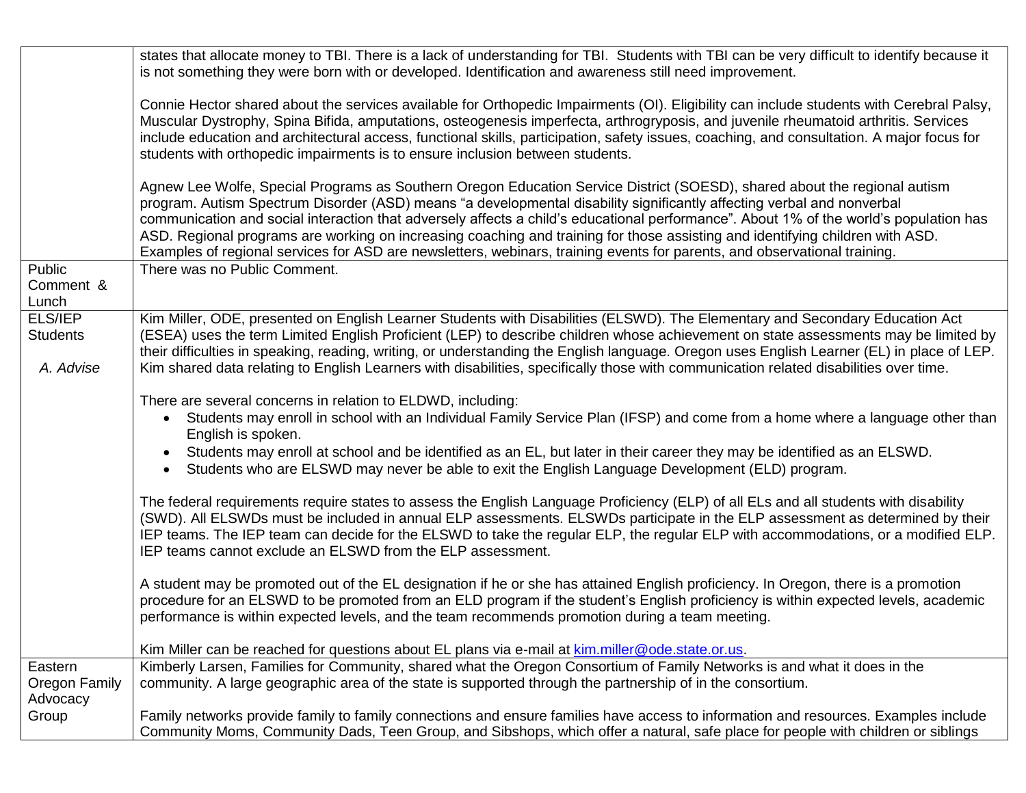|                                         | states that allocate money to TBI. There is a lack of understanding for TBI. Students with TBI can be very difficult to identify because it                                                                                                                                                                                                                                                                                                                                                                                                                                                                                                                 |
|-----------------------------------------|-------------------------------------------------------------------------------------------------------------------------------------------------------------------------------------------------------------------------------------------------------------------------------------------------------------------------------------------------------------------------------------------------------------------------------------------------------------------------------------------------------------------------------------------------------------------------------------------------------------------------------------------------------------|
|                                         | is not something they were born with or developed. Identification and awareness still need improvement.                                                                                                                                                                                                                                                                                                                                                                                                                                                                                                                                                     |
|                                         |                                                                                                                                                                                                                                                                                                                                                                                                                                                                                                                                                                                                                                                             |
|                                         | Connie Hector shared about the services available for Orthopedic Impairments (OI). Eligibility can include students with Cerebral Palsy,<br>Muscular Dystrophy, Spina Bifida, amputations, osteogenesis imperfecta, arthrogryposis, and juvenile rheumatoid arthritis. Services<br>include education and architectural access, functional skills, participation, safety issues, coaching, and consultation. A major focus for<br>students with orthopedic impairments is to ensure inclusion between students.                                                                                                                                              |
|                                         | Agnew Lee Wolfe, Special Programs as Southern Oregon Education Service District (SOESD), shared about the regional autism<br>program. Autism Spectrum Disorder (ASD) means "a developmental disability significantly affecting verbal and nonverbal<br>communication and social interaction that adversely affects a child's educational performance". About 1% of the world's population has<br>ASD. Regional programs are working on increasing coaching and training for those assisting and identifying children with ASD.<br>Examples of regional services for ASD are newsletters, webinars, training events for parents, and observational training. |
| Public                                  | There was no Public Comment.                                                                                                                                                                                                                                                                                                                                                                                                                                                                                                                                                                                                                                |
| Comment &                               |                                                                                                                                                                                                                                                                                                                                                                                                                                                                                                                                                                                                                                                             |
| Lunch                                   |                                                                                                                                                                                                                                                                                                                                                                                                                                                                                                                                                                                                                                                             |
| ELS/IEP<br><b>Students</b><br>A. Advise | Kim Miller, ODE, presented on English Learner Students with Disabilities (ELSWD). The Elementary and Secondary Education Act<br>(ESEA) uses the term Limited English Proficient (LEP) to describe children whose achievement on state assessments may be limited by<br>their difficulties in speaking, reading, writing, or understanding the English language. Oregon uses English Learner (EL) in place of LEP.<br>Kim shared data relating to English Learners with disabilities, specifically those with communication related disabilities over time.                                                                                                  |
|                                         |                                                                                                                                                                                                                                                                                                                                                                                                                                                                                                                                                                                                                                                             |
|                                         | There are several concerns in relation to ELDWD, including:<br>Students may enroll in school with an Individual Family Service Plan (IFSP) and come from a home where a language other than<br>English is spoken.                                                                                                                                                                                                                                                                                                                                                                                                                                           |
|                                         | Students may enroll at school and be identified as an EL, but later in their career they may be identified as an ELSWD.<br>$\bullet$<br>Students who are ELSWD may never be able to exit the English Language Development (ELD) program.<br>$\bullet$                                                                                                                                                                                                                                                                                                                                                                                                       |
|                                         | The federal requirements require states to assess the English Language Proficiency (ELP) of all ELs and all students with disability<br>(SWD). All ELSWDs must be included in annual ELP assessments. ELSWDs participate in the ELP assessment as determined by their<br>IEP teams. The IEP team can decide for the ELSWD to take the regular ELP, the regular ELP with accommodations, or a modified ELP.<br>IEP teams cannot exclude an ELSWD from the ELP assessment.                                                                                                                                                                                    |
|                                         | A student may be promoted out of the EL designation if he or she has attained English proficiency. In Oregon, there is a promotion<br>procedure for an ELSWD to be promoted from an ELD program if the student's English proficiency is within expected levels, academic<br>performance is within expected levels, and the team recommends promotion during a team meeting.                                                                                                                                                                                                                                                                                 |
|                                         | Kim Miller can be reached for questions about EL plans via e-mail at kim.miller@ode.state.or.us.                                                                                                                                                                                                                                                                                                                                                                                                                                                                                                                                                            |
| Eastern                                 | Kimberly Larsen, Families for Community, shared what the Oregon Consortium of Family Networks is and what it does in the                                                                                                                                                                                                                                                                                                                                                                                                                                                                                                                                    |
| Oregon Family<br>Advocacy               | community. A large geographic area of the state is supported through the partnership of in the consortium.                                                                                                                                                                                                                                                                                                                                                                                                                                                                                                                                                  |
| Group                                   | Family networks provide family to family connections and ensure families have access to information and resources. Examples include<br>Community Moms, Community Dads, Teen Group, and Sibshops, which offer a natural, safe place for people with children or siblings                                                                                                                                                                                                                                                                                                                                                                                     |